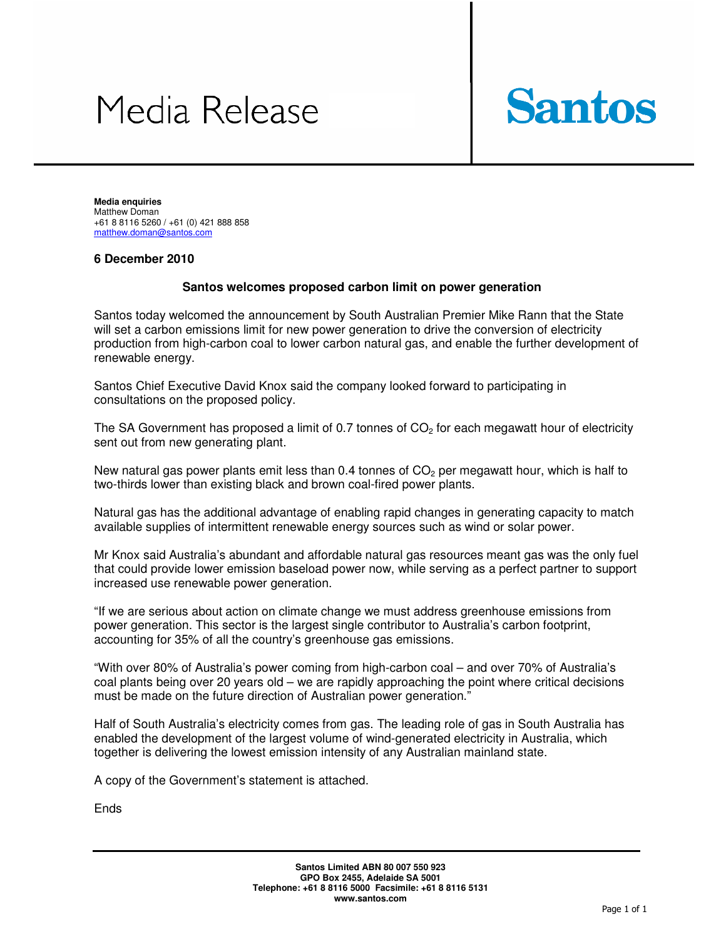# Media Release



**Media enquiries**  Matthew Doman +61 8 8116 5260 / +61 (0) 421 888 858 matthew.doman@santos.com

#### **6 December 2010**

#### **Santos welcomes proposed carbon limit on power generation**

Santos today welcomed the announcement by South Australian Premier Mike Rann that the State will set a carbon emissions limit for new power generation to drive the conversion of electricity production from high-carbon coal to lower carbon natural gas, and enable the further development of renewable energy.

Santos Chief Executive David Knox said the company looked forward to participating in consultations on the proposed policy.

The SA Government has proposed a limit of 0.7 tonnes of  $CO<sub>2</sub>$  for each megawatt hour of electricity sent out from new generating plant.

New natural gas power plants emit less than 0.4 tonnes of  $CO<sub>2</sub>$  per megawatt hour, which is half to two-thirds lower than existing black and brown coal-fired power plants.

Natural gas has the additional advantage of enabling rapid changes in generating capacity to match available supplies of intermittent renewable energy sources such as wind or solar power.

Mr Knox said Australia's abundant and affordable natural gas resources meant gas was the only fuel that could provide lower emission baseload power now, while serving as a perfect partner to support increased use renewable power generation.

"If we are serious about action on climate change we must address greenhouse emissions from power generation. This sector is the largest single contributor to Australia's carbon footprint, accounting for 35% of all the country's greenhouse gas emissions.

"With over 80% of Australia's power coming from high-carbon coal – and over 70% of Australia's coal plants being over 20 years old – we are rapidly approaching the point where critical decisions must be made on the future direction of Australian power generation."

Half of South Australia's electricity comes from gas. The leading role of gas in South Australia has enabled the development of the largest volume of wind-generated electricity in Australia, which together is delivering the lowest emission intensity of any Australian mainland state.

A copy of the Government's statement is attached.

**Ends**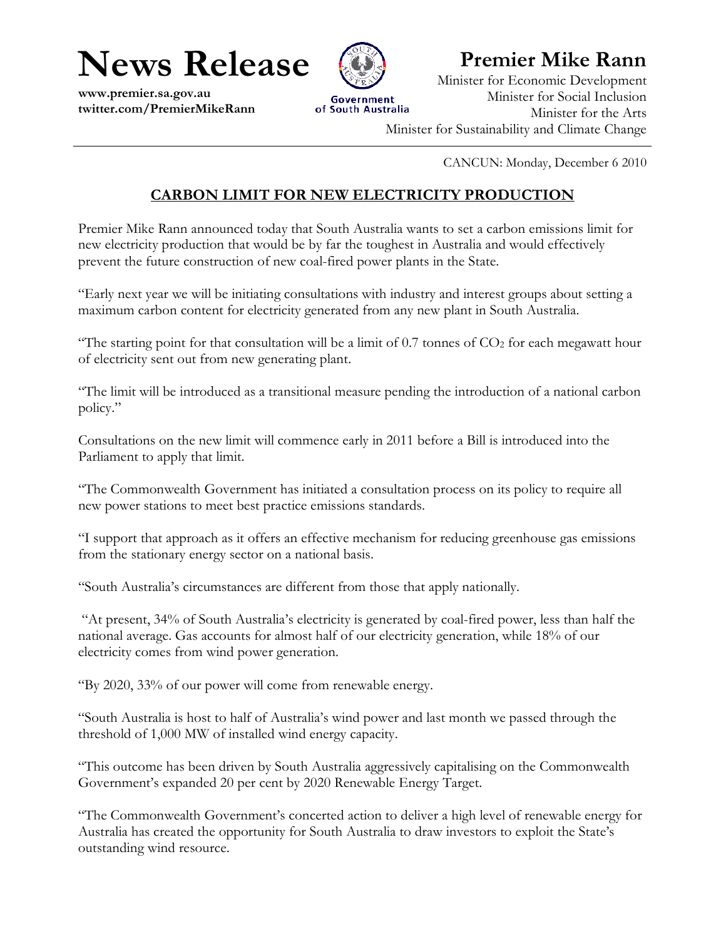**News Release** 

www.premier.sa.gov.au twitter.com/PremierMikeRann



## **Premier Mike Rann**

Minister for Economic Development Minister for Social Inclusion Minister for the Arts Minister for Sustainability and Climate Change

CANCUN: Monday, December 6 2010

### **CARBON LIMIT FOR NEW ELECTRICITY PRODUCTION**

Premier Mike Rann announced today that South Australia wants to set a carbon emissions limit for new electricity production that would be by far the toughest in Australia and would effectively prevent the future construction of new coal-fired power plants in the State.

"Early next year we will be initiating consultations with industry and interest groups about setting a maximum carbon content for electricity generated from any new plant in South Australia.

"The starting point for that consultation will be a limit of  $0.7$  tonnes of  $CO<sub>2</sub>$  for each megawatt hour of electricity sent out from new generating plant.

"The limit will be introduced as a transitional measure pending the introduction of a national carbon policy."

Consultations on the new limit will commence early in 2011 before a Bill is introduced into the Parliament to apply that limit.

"The Commonwealth Government has initiated a consultation process on its policy to require all new power stations to meet best practice emissions standards.

"I support that approach as it offers an effective mechanism for reducing greenhouse gas emissions from the stationary energy sector on a national basis.

"South Australia's circumstances are different from those that apply nationally.

"At present, 34% of South Australia's electricity is generated by coal-fired power, less than half the national average. Gas accounts for almost half of our electricity generation, while 18% of our electricity comes from wind power generation.

"By 2020, 33% of our power will come from renewable energy.

"South Australia is host to half of Australia's wind power and last month we passed through the threshold of 1,000 MW of installed wind energy capacity.

"This outcome has been driven by South Australia aggressively capitalising on the Commonwealth Government's expanded 20 per cent by 2020 Renewable Energy Target.

"The Commonwealth Government's concerted action to deliver a high level of renewable energy for Australia has created the opportunity for South Australia to draw investors to exploit the State's outstanding wind resource.